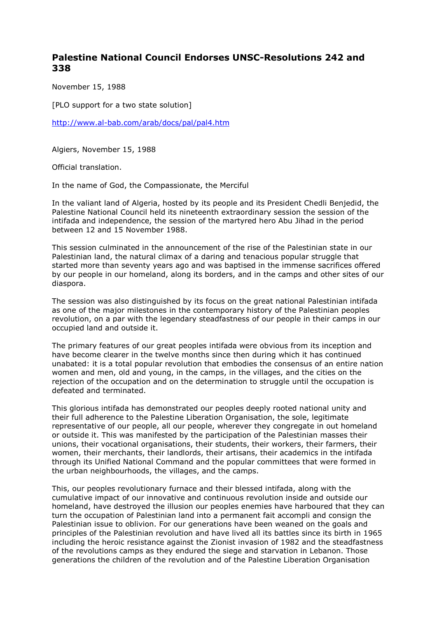## **Palestine National Council Endorses UNSC-Resolutions 242 and 338**

November 15, 1988

[PLO support for a two state solution]

http://www.al-bab.com/arab/docs/pal/pal4.htm

Algiers, November 15, 1988

Official translation.

In the name of God, the Compassionate, the Merciful

In the valiant land of Algeria, hosted by its people and its President Chedli Benjedid, the Palestine National Council held its nineteenth extraordinary session the session of the intifada and independence, the session of the martyred hero Abu Jihad in the period between 12 and 15 November 1988.

This session culminated in the announcement of the rise of the Palestinian state in our Palestinian land, the natural climax of a daring and tenacious popular struggle that started more than seventy years ago and was baptised in the immense sacrifices offered by our people in our homeland, along its borders, and in the camps and other sites of our diaspora.

The session was also distinguished by its focus on the great national Palestinian intifada as one of the major milestones in the contemporary history of the Palestinian peoples revolution, on a par with the legendary steadfastness of our people in their camps in our occupied land and outside it.

The primary features of our great peoples intifada were obvious from its inception and have become clearer in the twelve months since then during which it has continued unabated: it is a total popular revolution that embodies the consensus of an entire nation women and men, old and young, in the camps, in the villages, and the cities on the rejection of the occupation and on the determination to struggle until the occupation is defeated and terminated.

This glorious intifada has demonstrated our peoples deeply rooted national unity and their full adherence to the Palestine Liberation Organisation, the sole, legitimate representative of our people, all our people, wherever they congregate in out homeland or outside it. This was manifested by the participation of the Palestinian masses their unions, their vocational organisations, their students, their workers, their farmers, their women, their merchants, their landlords, their artisans, their academics in the intifada through its Unified National Command and the popular committees that were formed in the urban neighbourhoods, the villages, and the camps.

This, our peoples revolutionary furnace and their blessed intifada, along with the cumulative impact of our innovative and continuous revolution inside and outside our homeland, have destroyed the illusion our peoples enemies have harboured that they can turn the occupation of Palestinian land into a permanent fait accompli and consign the Palestinian issue to oblivion. For our generations have been weaned on the goals and principles of the Palestinian revolution and have lived all its battles since its birth in 1965 including the heroic resistance against the Zionist invasion of 1982 and the steadfastness of the revolutions camps as they endured the siege and starvation in Lebanon. Those generations the children of the revolution and of the Palestine Liberation Organisation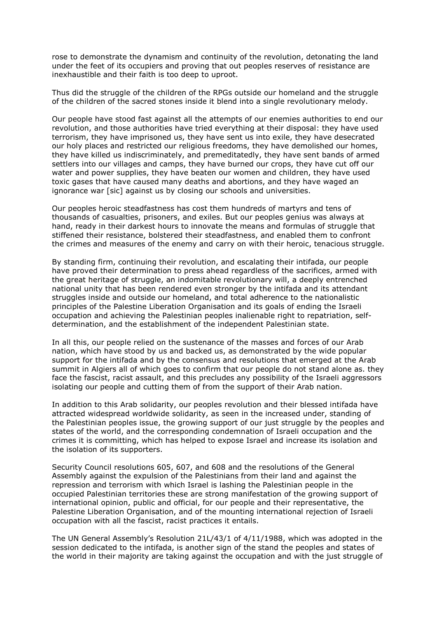rose to demonstrate the dynamism and continuity of the revolution, detonating the land under the feet of its occupiers and proving that out peoples reserves of resistance are inexhaustible and their faith is too deep to uproot.

Thus did the struggle of the children of the RPGs outside our homeland and the struggle of the children of the sacred stones inside it blend into a single revolutionary melody.

Our people have stood fast against all the attempts of our enemies authorities to end our revolution, and those authorities have tried everything at their disposal: they have used terrorism, they have imprisoned us, they have sent us into exile, they have desecrated our holy places and restricted our religious freedoms, they have demolished our homes, they have killed us indiscriminately, and premeditatedly, they have sent bands of armed settlers into our villages and camps, they have burned our crops, they have cut off our water and power supplies, they have beaten our women and children, they have used toxic gases that have caused many deaths and abortions, and they have waged an ignorance war [sic] against us by closing our schools and universities.

Our peoples heroic steadfastness has cost them hundreds of martyrs and tens of thousands of casualties, prisoners, and exiles. But our peoples genius was always at hand, ready in their darkest hours to innovate the means and formulas of struggle that stiffened their resistance, bolstered their steadfastness, and enabled them to confront the crimes and measures of the enemy and carry on with their heroic, tenacious struggle.

By standing firm, continuing their revolution, and escalating their intifada, our people have proved their determination to press ahead regardless of the sacrifices, armed with the great heritage of struggle, an indomitable revolutionary will, a deeply entrenched national unity that has been rendered even stronger by the intifada and its attendant struggles inside and outside our homeland, and total adherence to the nationalistic principles of the Palestine Liberation Organisation and its goals of ending the Israeli occupation and achieving the Palestinian peoples inalienable right to repatriation, selfdetermination, and the establishment of the independent Palestinian state.

In all this, our people relied on the sustenance of the masses and forces of our Arab nation, which have stood by us and backed us, as demonstrated by the wide popular support for the intifada and by the consensus and resolutions that emerged at the Arab summit in Algiers all of which goes to confirm that our people do not stand alone as. they face the fascist, racist assault, and this precludes any possibility of the Israeli aggressors isolating our people and cutting them of from the support of their Arab nation.

In addition to this Arab solidarity, our peoples revolution and their blessed intifada have attracted widespread worldwide solidarity, as seen in the increased under, standing of the Palestinian peoples issue, the growing support of our just struggle by the peoples and states of the world, and the corresponding condemnation of Israeli occupation and the crimes it is committing, which has helped to expose Israel and increase its isolation and the isolation of its supporters.

Security Council resolutions 605, 607, and 608 and the resolutions of the General Assembly against the expulsion of the Palestinians from their land and against the repression and terrorism with which Israel is lashing the Palestinian people in the occupied Palestinian territories these are strong manifestation of the growing support of international opinion, public and official, for our people and their representative, the Palestine Liberation Organisation, and of the mounting international rejection of Israeli occupation with all the fascist, racist practices it entails.

The UN General Assembly's Resolution 21L/43/1 of 4/11/1988, which was adopted in the session dedicated to the intifada, is another sign of the stand the peoples and states of the world in their majority are taking against the occupation and with the just struggle of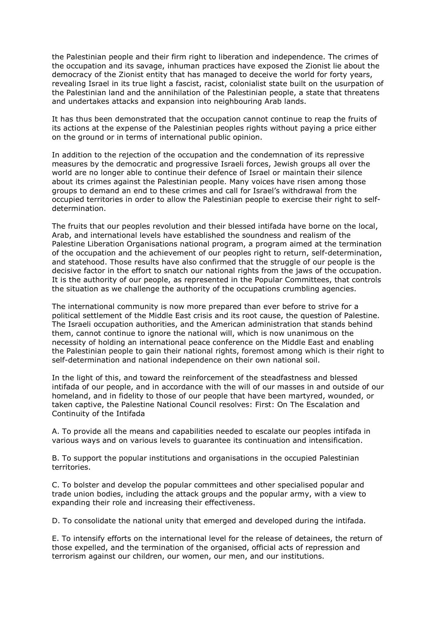the Palestinian people and their firm right to liberation and independence. The crimes of the occupation and its savage, inhuman practices have exposed the Zionist lie about the democracy of the Zionist entity that has managed to deceive the world for forty years, revealing Israel in its true light a fascist, racist, colonialist state built on the usurpation of the Palestinian land and the annihilation of the Palestinian people, a state that threatens and undertakes attacks and expansion into neighbouring Arab lands.

It has thus been demonstrated that the occupation cannot continue to reap the fruits of its actions at the expense of the Palestinian peoples rights without paying a price either on the ground or in terms of international public opinion.

In addition to the rejection of the occupation and the condemnation of its repressive measures by the democratic and progressive Israeli forces, Jewish groups all over the world are no longer able to continue their defence of Israel or maintain their silence about its crimes against the Palestinian people. Many voices have risen among those groups to demand an end to these crimes and call for Israel's withdrawal from the occupied territories in order to allow the Palestinian people to exercise their right to selfdetermination.

The fruits that our peoples revolution and their blessed intifada have borne on the local, Arab, and international levels have established the soundness and realism of the Palestine Liberation Organisations national program, a program aimed at the termination of the occupation and the achievement of our peoples right to return, self-determination, and statehood. Those results have also confirmed that the struggle of our people is the decisive factor in the effort to snatch our national rights from the jaws of the occupation. It is the authority of our people, as represented in the Popular Committees, that controls the situation as we challenge the authority of the occupations crumbling agencies.

The international community is now more prepared than ever before to strive for a political settlement of the Middle East crisis and its root cause, the question of Palestine. The Israeli occupation authorities, and the American administration that stands behind them, cannot continue to ignore the national will, which is now unanimous on the necessity of holding an international peace conference on the Middle East and enabling the Palestinian people to gain their national rights, foremost among which is their right to self-determination and national independence on their own national soil.

In the light of this, and toward the reinforcement of the steadfastness and blessed intifada of our people, and in accordance with the will of our masses in and outside of our homeland, and in fidelity to those of our people that have been martyred, wounded, or taken captive, the Palestine National Council resolves: First: On The Escalation and Continuity of the Intifada

A. To provide all the means and capabilities needed to escalate our peoples intifada in various ways and on various levels to guarantee its continuation and intensification.

B. To support the popular institutions and organisations in the occupied Palestinian territories.

C. To bolster and develop the popular committees and other specialised popular and trade union bodies, including the attack groups and the popular army, with a view to expanding their role and increasing their effectiveness.

D. To consolidate the national unity that emerged and developed during the intifada.

E. To intensify efforts on the international level for the release of detainees, the return of those expelled, and the termination of the organised, official acts of repression and terrorism against our children, our women, our men, and our institutions.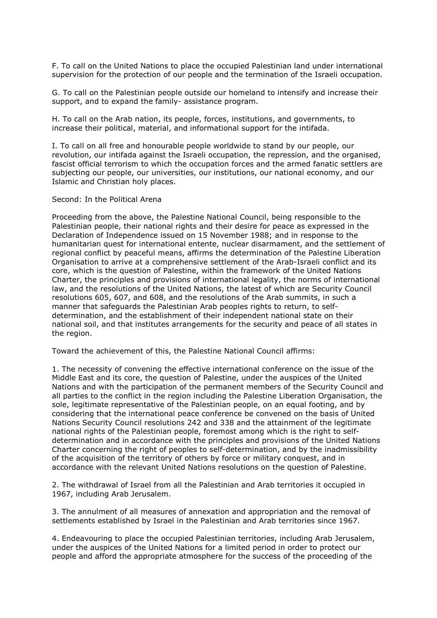F. To call on the United Nations to place the occupied Palestinian land under international supervision for the protection of our people and the termination of the Israeli occupation.

G. To call on the Palestinian people outside our homeland to intensify and increase their support, and to expand the family- assistance program.

H. To call on the Arab nation, its people, forces, institutions, and governments, to increase their political, material, and informational support for the intifada.

I. To call on all free and honourable people worldwide to stand by our people, our revolution, our intifada against the Israeli occupation, the repression, and the organised, fascist official terrorism to which the occupation forces and the armed fanatic settlers are subjecting our people, our universities, our institutions, our national economy, and our Islamic and Christian holy places.

Second: In the Political Arena

Proceeding from the above, the Palestine National Council, being responsible to the Palestinian people, their national rights and their desire for peace as expressed in the Declaration of Independence issued on 15 November 1988; and in response to the humanitarian quest for international entente, nuclear disarmament, and the settlement of regional conflict by peaceful means, affirms the determination of the Palestine Liberation Organisation to arrive at a comprehensive settlement of the Arab-Israeli conflict and its core, which is the question of Palestine, within the framework of the United Nations Charter, the principles and provisions of international legality, the norms of international law, and the resolutions of the United Nations, the latest of which are Security Council resolutions 605, 607, and 608, and the resolutions of the Arab summits, in such a manner that safeguards the Palestinian Arab peoples rights to return, to selfdetermination, and the establishment of their independent national state on their national soil, and that institutes arrangements for the security and peace of all states in the region.

Toward the achievement of this, the Palestine National Council affirms:

1. The necessity of convening the effective international conference on the issue of the Middle East and its core, the question of Palestine, under the auspices of the United Nations and with the participation of the permanent members of the Security Council and all parties to the conflict in the region including the Palestine Liberation Organisation, the sole, legitimate representative of the Palestinian people, on an equal footing, and by considering that the international peace conference be convened on the basis of United Nations Security Council resolutions 242 and 338 and the attainment of the legitimate national rights of the Palestinian people, foremost among which is the right to selfdetermination and in accordance with the principles and provisions of the United Nations Charter concerning the right of peoples to self-determination, and by the inadmissibility of the acquisition of the territory of others by force or military conquest, and in accordance with the relevant United Nations resolutions on the question of Palestine.

2. The withdrawal of Israel from all the Palestinian and Arab territories it occupied in 1967, including Arab Jerusalem.

3. The annulment of all measures of annexation and appropriation and the removal of settlements established by Israel in the Palestinian and Arab territories since 1967.

4. Endeavouring to place the occupied Palestinian territories, including Arab Jerusalem, under the auspices of the United Nations for a limited period in order to protect our people and afford the appropriate atmosphere for the success of the proceeding of the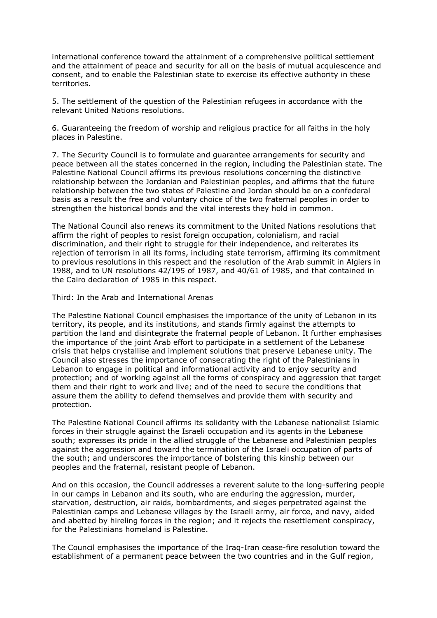international conference toward the attainment of a comprehensive political settlement and the attainment of peace and security for all on the basis of mutual acquiescence and consent, and to enable the Palestinian state to exercise its effective authority in these territories.

5. The settlement of the question of the Palestinian refugees in accordance with the relevant United Nations resolutions.

6. Guaranteeing the freedom of worship and religious practice for all faiths in the holy places in Palestine.

7. The Security Council is to formulate and guarantee arrangements for security and peace between all the states concerned in the region, including the Palestinian state. The Palestine National Council affirms its previous resolutions concerning the distinctive relationship between the Jordanian and Palestinian peoples, and affirms that the future relationship between the two states of Palestine and Jordan should be on a confederal basis as a result the free and voluntary choice of the two fraternal peoples in order to strengthen the historical bonds and the vital interests they hold in common.

The National Council also renews its commitment to the United Nations resolutions that affirm the right of peoples to resist foreign occupation, colonialism, and racial discrimination, and their right to struggle for their independence, and reiterates its rejection of terrorism in all its forms, including state terrorism, affirming its commitment to previous resolutions in this respect and the resolution of the Arab summit in Algiers in 1988, and to UN resolutions 42/195 of 1987, and 40/61 of 1985, and that contained in the Cairo declaration of 1985 in this respect.

Third: In the Arab and International Arenas

The Palestine National Council emphasises the importance of the unity of Lebanon in its territory, its people, and its institutions, and stands firmly against the attempts to partition the land and disintegrate the fraternal people of Lebanon. It further emphasises the importance of the joint Arab effort to participate in a settlement of the Lebanese crisis that helps crystallise and implement solutions that preserve Lebanese unity. The Council also stresses the importance of consecrating the right of the Palestinians in Lebanon to engage in political and informational activity and to enjoy security and protection; and of working against all the forms of conspiracy and aggression that target them and their right to work and live; and of the need to secure the conditions that assure them the ability to defend themselves and provide them with security and protection.

The Palestine National Council affirms its solidarity with the Lebanese nationalist Islamic forces in their struggle against the Israeli occupation and its agents in the Lebanese south; expresses its pride in the allied struggle of the Lebanese and Palestinian peoples against the aggression and toward the termination of the Israeli occupation of parts of the south; and underscores the importance of bolstering this kinship between our peoples and the fraternal, resistant people of Lebanon.

And on this occasion, the Council addresses a reverent salute to the long-suffering people in our camps in Lebanon and its south, who are enduring the aggression, murder, starvation, destruction, air raids, bombardments, and sieges perpetrated against the Palestinian camps and Lebanese villages by the Israeli army, air force, and navy, aided and abetted by hireling forces in the region; and it rejects the resettlement conspiracy, for the Palestinians homeland is Palestine.

The Council emphasises the importance of the Iraq-Iran cease-fire resolution toward the establishment of a permanent peace between the two countries and in the Gulf region,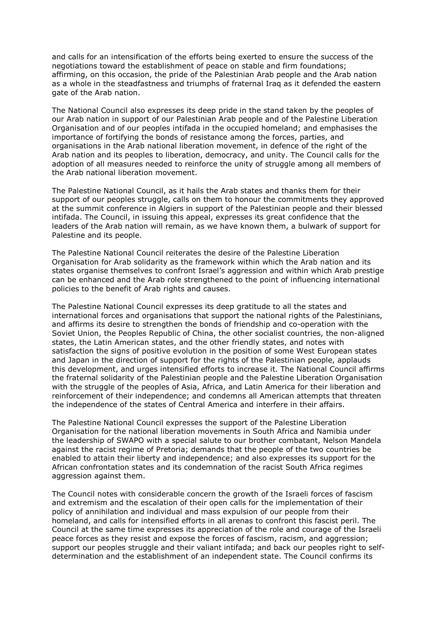and calls for an intensification of the efforts being exerted to ensure the success of the negotiations toward the establishment of peace on stable and firm foundations; affirming, on this occasion, the pride of the Palestinian Arab people and the Arab nation as a whole in the steadfastness and triumphs of fraternal Iraq as it defended the eastern gate of the Arab nation.

The National Council also expresses its deep pride in the stand taken by the peoples of our Arab nation in support of our Palestinian Arab people and of the Palestine Liberation Organisation and of our peoples intifada in the occupied homeland; and emphasises the importance of fortifying the bonds of resistance among the forces, parties, and organisations in the Arab national liberation movement, in defence of the right of the Arab nation and its peoples to liberation, democracy, and unity. The Council calls for the adoption of all measures needed to reinforce the unity of struggle among all members of the Arab national liberation movement.

The Palestine National Council, as it hails the Arab states and thanks them for their support of our peoples struggle, calls on them to honour the commitments they approved at the summit conference in Algiers in support of the Palestinian people and their blessed intifada. The Council, in issuing this appeal, expresses its great confidence that the leaders of the Arab nation will remain, as we have known them, a bulwark of support for Palestine and its people.

The Palestine National Council reiterates the desire of the Palestine Liberation Organisation for Arab solidarity as the framework within which the Arab nation and its states organise themselves to confront Israel's aggression and within which Arab prestige can be enhanced and the Arab role strengthened to the point of influencing international policies to the benefit of Arab rights and causes.

The Palestine National Council expresses its deep gratitude to all the states and international forces and organisations that support the national rights of the Palestinians, and affirms its desire to strengthen the bonds of friendship and co-operation with the Soviet Union, the Peoples Republic of China, the other socialist countries, the non-aligned states, the Latin American states, and the other friendly states, and notes with satisfaction the signs of positive evolution in the position of some West European states and Japan in the direction of support for the rights of the Palestinian people, applauds this development, and urges intensified efforts to increase it. The National Council affirms the fraternal solidarity of the Palestinian people and the Palestine Liberation Organisation with the struggle of the peoples of Asia, Africa, and Latin America for their liberation and reinforcement of their independence; and condemns all American attempts that threaten the independence of the states of Central America and interfere in their affairs.

The Palestine National Council expresses the support of the Palestine Liberation Organisation for the national liberation movements in South Africa and Namibia under the leadership of SWAPO with a special salute to our brother combatant, Nelson Mandela against the racist regime of Pretoria; demands that the people of the two countries be enabled to attain their liberty and independence; and also expresses its support for the African confrontation states and its condemnation of the racist South Africa regimes aggression against them.

The Council notes with considerable concern the growth of the Israeli forces of fascism and extremism and the escalation of their open calls for the implementation of their policy of annihilation and individual and mass expulsion of our people from their homeland, and calls for intensified efforts in all arenas to confront this fascist peril. The Council at the same time expresses its appreciation of the role and courage of the Israeli peace forces as they resist and expose the forces of fascism, racism, and aggression; support our peoples struggle and their valiant intifada; and back our peoples right to selfdetermination and the establishment of an independent state. The Council confirms its